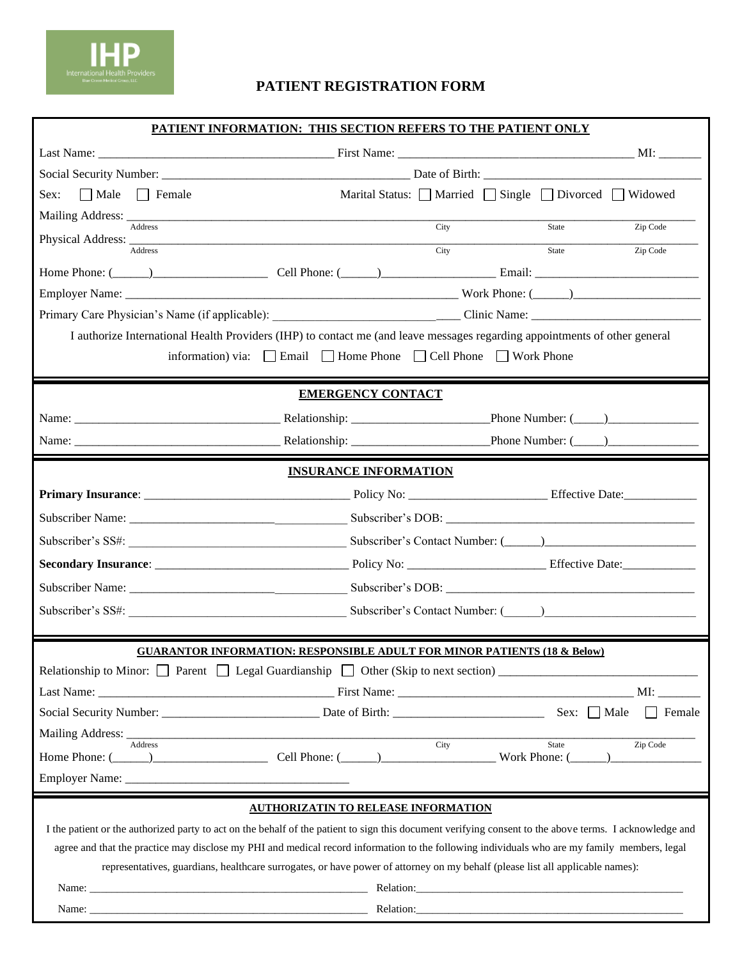

## **PATIENT REGISTRATION FORM**

| PATIENT INFORMATION: THIS SECTION REFERS TO THE PATIENT ONLY                                                                                                                                                                                                                  |                                                                                      |      |                                                 |               |  |
|-------------------------------------------------------------------------------------------------------------------------------------------------------------------------------------------------------------------------------------------------------------------------------|--------------------------------------------------------------------------------------|------|-------------------------------------------------|---------------|--|
|                                                                                                                                                                                                                                                                               |                                                                                      |      |                                                 |               |  |
|                                                                                                                                                                                                                                                                               |                                                                                      |      |                                                 |               |  |
| Sex: $Male$ Female                                                                                                                                                                                                                                                            |                                                                                      |      | Marital Status: Married Single Divorced Widowed |               |  |
| Mailing Address: Address Address Address Address Address Address Address Address Address Address Address Address Address Address Address Address Address Address Address Address Address Address Address Address Address Addre                                                |                                                                                      | City | State                                           | Zip Code      |  |
| Physical Address:<br>Address                                                                                                                                                                                                                                                  |                                                                                      | City | State                                           | Zip Code      |  |
|                                                                                                                                                                                                                                                                               |                                                                                      |      |                                                 |               |  |
|                                                                                                                                                                                                                                                                               |                                                                                      |      |                                                 |               |  |
|                                                                                                                                                                                                                                                                               |                                                                                      |      |                                                 |               |  |
| I authorize International Health Providers (IHP) to contact me (and leave messages regarding appointments of other general                                                                                                                                                    |                                                                                      |      |                                                 |               |  |
|                                                                                                                                                                                                                                                                               | information) via: $\Box$ Email $\Box$ Home Phone $\Box$ Cell Phone $\Box$ Work Phone |      |                                                 |               |  |
|                                                                                                                                                                                                                                                                               |                                                                                      |      |                                                 |               |  |
|                                                                                                                                                                                                                                                                               | <b>EMERGENCY CONTACT</b>                                                             |      |                                                 |               |  |
|                                                                                                                                                                                                                                                                               |                                                                                      |      |                                                 |               |  |
|                                                                                                                                                                                                                                                                               |                                                                                      |      |                                                 |               |  |
| <b>INSURANCE INFORMATION</b>                                                                                                                                                                                                                                                  |                                                                                      |      |                                                 |               |  |
|                                                                                                                                                                                                                                                                               |                                                                                      |      |                                                 |               |  |
|                                                                                                                                                                                                                                                                               |                                                                                      |      |                                                 |               |  |
|                                                                                                                                                                                                                                                                               |                                                                                      |      |                                                 |               |  |
|                                                                                                                                                                                                                                                                               |                                                                                      |      |                                                 |               |  |
|                                                                                                                                                                                                                                                                               |                                                                                      |      |                                                 |               |  |
| Subscriber's SS#: Subscriber's Contact Number: (Call 2013)                                                                                                                                                                                                                    |                                                                                      |      |                                                 |               |  |
|                                                                                                                                                                                                                                                                               |                                                                                      |      |                                                 |               |  |
| <b>GUARANTOR INFORMATION: RESPONSIBLE ADULT FOR MINOR PATIENTS (18 &amp; Below)</b>                                                                                                                                                                                           |                                                                                      |      |                                                 |               |  |
|                                                                                                                                                                                                                                                                               |                                                                                      |      |                                                 |               |  |
|                                                                                                                                                                                                                                                                               |                                                                                      |      |                                                 | MI:           |  |
|                                                                                                                                                                                                                                                                               |                                                                                      |      |                                                 | $\Box$ Female |  |
| Address                                                                                                                                                                                                                                                                       |                                                                                      | City | State                                           | Zip Code      |  |
| Home Phone: (Changelen 2014) Cell Phone: (Changelen 2014) Nork Phone: (Changelen 2014) Cell Phone: (Changelen 2014) Nork Phone: (Changelen 2014) 2014                                                                                                                         |                                                                                      |      |                                                 |               |  |
|                                                                                                                                                                                                                                                                               |                                                                                      |      |                                                 |               |  |
| <b>AUTHORIZATIN TO RELEASE INFORMATION</b>                                                                                                                                                                                                                                    |                                                                                      |      |                                                 |               |  |
| I the patient or the authorized party to act on the behalf of the patient to sign this document verifying consent to the above terms. I acknowledge and                                                                                                                       |                                                                                      |      |                                                 |               |  |
| agree and that the practice may disclose my PHI and medical record information to the following individuals who are my family members, legal<br>representatives, guardians, healthcare surrogates, or have power of attorney on my behalf (please list all applicable names): |                                                                                      |      |                                                 |               |  |
| Name: Name: Name: Name: Name: Name: Name: Name: Name: Name: Name: Name: Name: Name: Name: Name: Name: Name: Name: Name: Name: Name: Name: Name: Name: Name: Name: Name: Name: Name: Name: Name: Name: Name: Name: Name: Name:                                                 |                                                                                      |      | Relation:                                       |               |  |
|                                                                                                                                                                                                                                                                               |                                                                                      |      |                                                 |               |  |
|                                                                                                                                                                                                                                                                               |                                                                                      |      |                                                 |               |  |